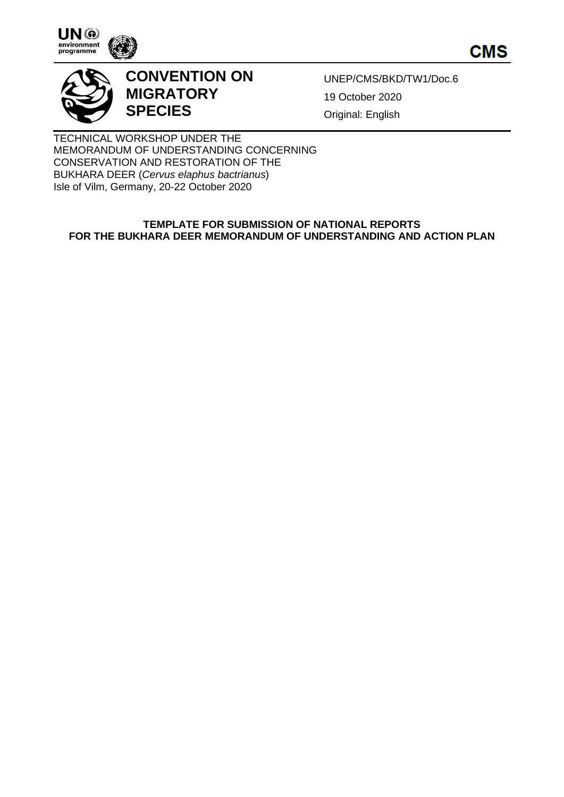

**CMS** 



# **CONVENTION ON MIGRATORY SPECIES**

UNEP/CMS/BKD/TW1/Doc.6 19 October 2020 Original: English

TECHNICAL WORKSHOP UNDER THE MEMORANDUM OF UNDERSTANDING CONCERNING CONSERVATION AND RESTORATION OF THE BUKHARA DEER (*Cervus elaphus bactrianus*) Isle of Vilm, Germany, 20-22 October 2020

# **TEMPLATE FOR SUBMISSION OF NATIONAL REPORTS FOR THE BUKHARA DEER MEMORANDUM OF UNDERSTANDING AND ACTION PLAN**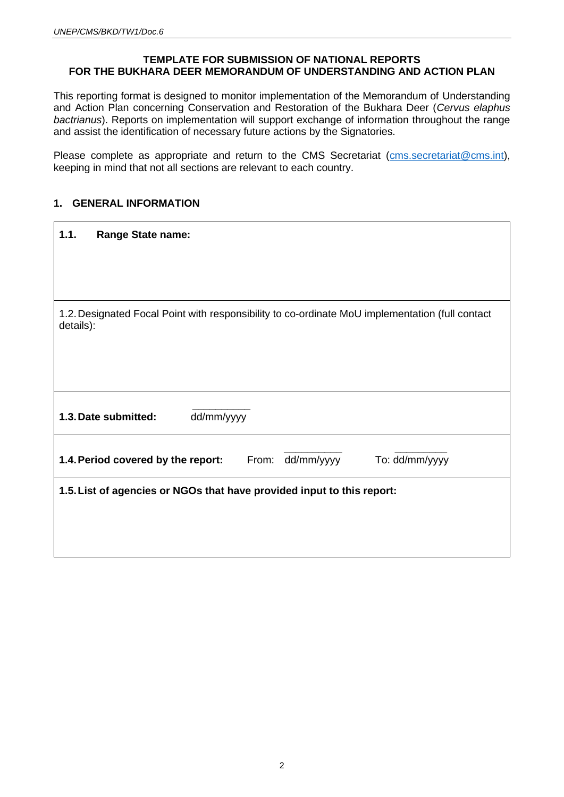# **TEMPLATE FOR SUBMISSION OF NATIONAL REPORTS FOR THE BUKHARA DEER MEMORANDUM OF UNDERSTANDING AND ACTION PLAN**

This reporting format is designed to monitor implementation of the Memorandum of Understanding and Action Plan concerning Conservation and Restoration of the Bukhara Deer (*Cervus elaphus bactrianus*). Reports on implementation will support exchange of information throughout the range and assist the identification of necessary future actions by the Signatories.

Please complete as appropriate and return to the CMS Secretariat (cms[.secretariat@cms.int\)](mailto:secretariat@cms.int), keeping in mind that not all sections are relevant to each country.

# **1. GENERAL INFORMATION**

| 1.1.                                                                                                         | <b>Range State name:</b>                                                 |  |  |  |  |  |  |
|--------------------------------------------------------------------------------------------------------------|--------------------------------------------------------------------------|--|--|--|--|--|--|
|                                                                                                              |                                                                          |  |  |  |  |  |  |
|                                                                                                              |                                                                          |  |  |  |  |  |  |
| 1.2. Designated Focal Point with responsibility to co-ordinate MoU implementation (full contact<br>details): |                                                                          |  |  |  |  |  |  |
|                                                                                                              |                                                                          |  |  |  |  |  |  |
|                                                                                                              |                                                                          |  |  |  |  |  |  |
|                                                                                                              | dd/mm/yyyy<br>1.3. Date submitted:                                       |  |  |  |  |  |  |
|                                                                                                              | From: dd/mm/yyyy<br>To: dd/mm/yyyy<br>1.4. Period covered by the report: |  |  |  |  |  |  |
| 1.5. List of agencies or NGOs that have provided input to this report:                                       |                                                                          |  |  |  |  |  |  |
|                                                                                                              |                                                                          |  |  |  |  |  |  |
|                                                                                                              |                                                                          |  |  |  |  |  |  |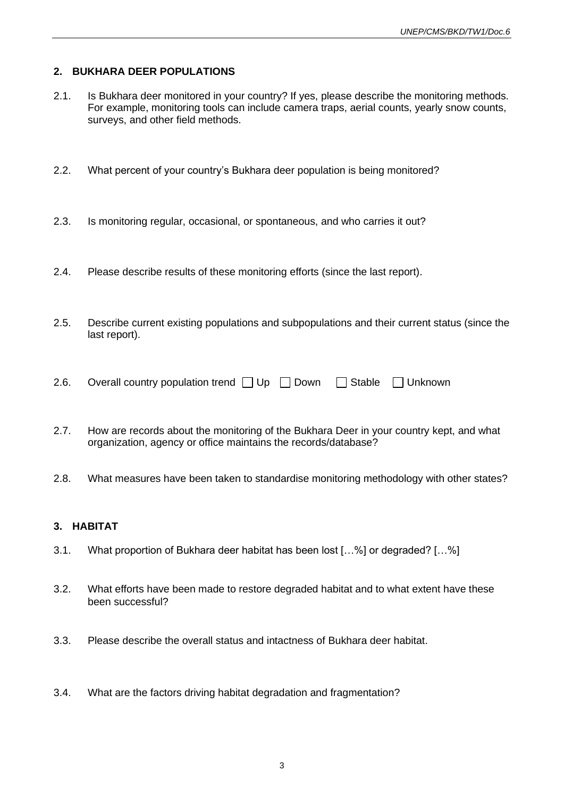# **2. BUKHARA DEER POPULATIONS**

- 2.1. Is Bukhara deer monitored in your country? If yes, please describe the monitoring methods. For example, monitoring tools can include camera traps, aerial counts, yearly snow counts, surveys, and other field methods.
- 2.2. What percent of your country's Bukhara deer population is being monitored?
- 2.3. Is monitoring regular, occasional, or spontaneous, and who carries it out?
- 2.4. Please describe results of these monitoring efforts (since the last report).
- 2.5. Describe current existing populations and subpopulations and their current status (since the last report).

| Overall country population trend □ Up □ Down □ Stable □ Unknown |  |  |  |  |  |  |  | 2.6. |
|-----------------------------------------------------------------|--|--|--|--|--|--|--|------|
|-----------------------------------------------------------------|--|--|--|--|--|--|--|------|

- 2.7. How are records about the monitoring of the Bukhara Deer in your country kept, and what organization, agency or office maintains the records/database?
- 2.8. What measures have been taken to standardise monitoring methodology with other states?

#### **3. HABITAT**

- 3.1. What proportion of Bukhara deer habitat has been lost […%] or degraded? […%]
- 3.2. What efforts have been made to restore degraded habitat and to what extent have these been successful?
- 3.3. Please describe the overall status and intactness of Bukhara deer habitat.
- 3.4. What are the factors driving habitat degradation and fragmentation?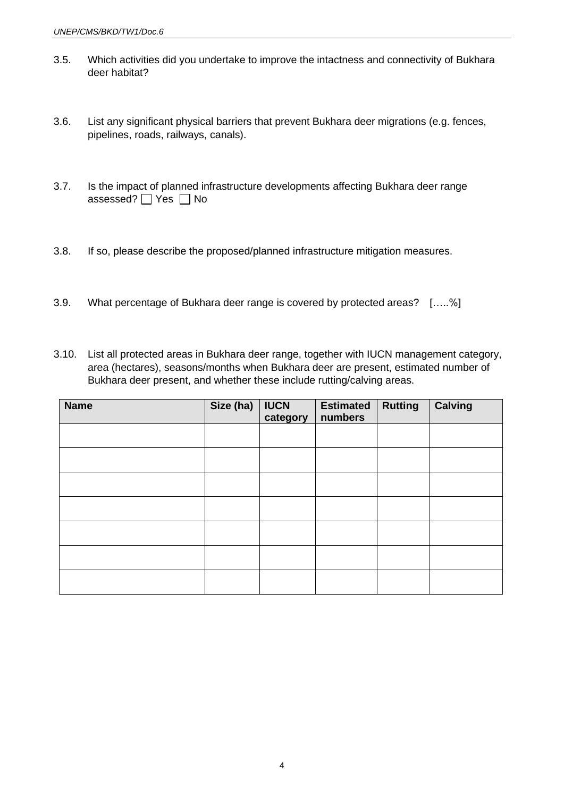- 3.5. Which activities did you undertake to improve the intactness and connectivity of Bukhara deer habitat?
- 3.6. List any significant physical barriers that prevent Bukhara deer migrations (e.g. fences, pipelines, roads, railways, canals).
- 3.7. Is the impact of planned infrastructure developments affecting Bukhara deer range assessed?  $\Box$  Yes  $\Box$  No
- 3.8. If so, please describe the proposed/planned infrastructure mitigation measures.
- 3.9. What percentage of Bukhara deer range is covered by protected areas? […..%]
- 3.10. List all protected areas in Bukhara deer range, together with IUCN management category, area (hectares), seasons/months when Bukhara deer are present, estimated number of Bukhara deer present, and whether these include rutting/calving areas.

| <b>Name</b> | Size (ha) | <b>IUCN</b><br>category | <b>Estimated</b><br>numbers | <b>Rutting</b> | <b>Calving</b> |
|-------------|-----------|-------------------------|-----------------------------|----------------|----------------|
|             |           |                         |                             |                |                |
|             |           |                         |                             |                |                |
|             |           |                         |                             |                |                |
|             |           |                         |                             |                |                |
|             |           |                         |                             |                |                |
|             |           |                         |                             |                |                |
|             |           |                         |                             |                |                |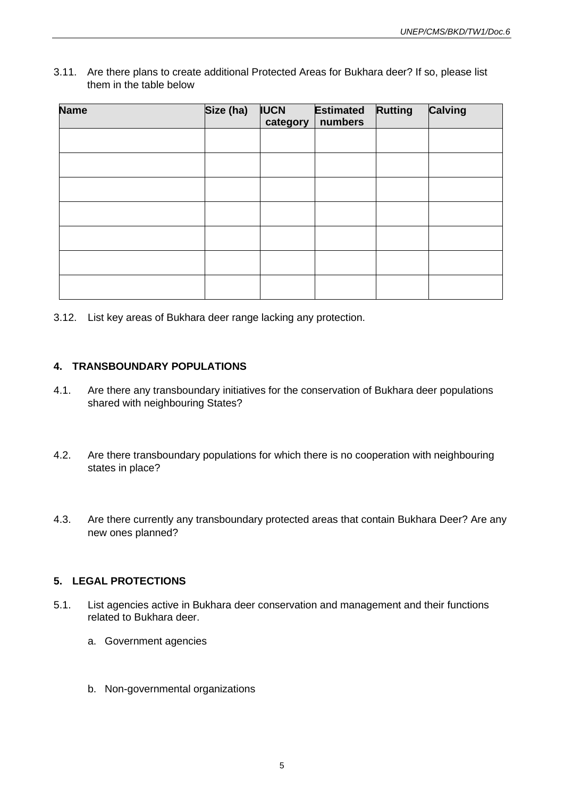#### 3.11. Are there plans to create additional Protected Areas for Bukhara deer? If so, please list them in the table below

| <b>Name</b> | Size (ha) | <b>IUCN</b><br>category | <b>Estimated</b><br>numbers | <b>Rutting</b> | <b>Calving</b> |
|-------------|-----------|-------------------------|-----------------------------|----------------|----------------|
|             |           |                         |                             |                |                |
|             |           |                         |                             |                |                |
|             |           |                         |                             |                |                |
|             |           |                         |                             |                |                |
|             |           |                         |                             |                |                |
|             |           |                         |                             |                |                |
|             |           |                         |                             |                |                |

3.12. List key areas of Bukhara deer range lacking any protection.

# **4. TRANSBOUNDARY POPULATIONS**

- 4.1. Are there any transboundary initiatives for the conservation of Bukhara deer populations shared with neighbouring States?
- 4.2. Are there transboundary populations for which there is no cooperation with neighbouring states in place?
- 4.3. Are there currently any transboundary protected areas that contain Bukhara Deer? Are any new ones planned?

#### **5. LEGAL PROTECTIONS**

- 5.1. List agencies active in Bukhara deer conservation and management and their functions related to Bukhara deer.
	- a. Government agencies
	- b. Non-governmental organizations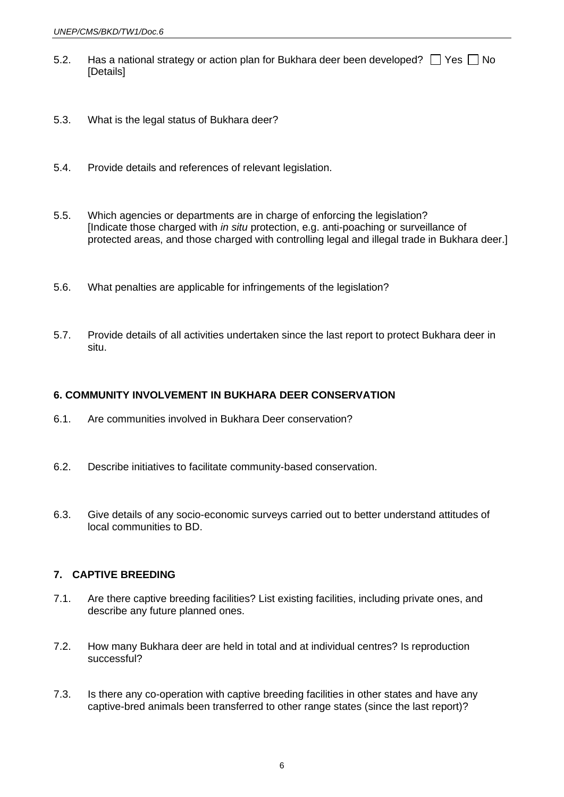- 5.2. Has a national strategy or action plan for Bukhara deer been developed?  $\Box$  Yes  $\Box$  No [Details]
- 5.3. What is the legal status of Bukhara deer?
- 5.4. Provide details and references of relevant legislation.
- 5.5. Which agencies or departments are in charge of enforcing the legislation? [Indicate those charged with *in situ* protection, e.g. anti-poaching or surveillance of protected areas, and those charged with controlling legal and illegal trade in Bukhara deer.]
- 5.6. What penalties are applicable for infringements of the legislation?
- 5.7. Provide details of all activities undertaken since the last report to protect Bukhara deer in situ.

#### **6. COMMUNITY INVOLVEMENT IN BUKHARA DEER CONSERVATION**

- 6.1. Are communities involved in Bukhara Deer conservation?
- 6.2. Describe initiatives to facilitate community-based conservation.
- 6.3. Give details of any socio-economic surveys carried out to better understand attitudes of local communities to BD.

#### **7. CAPTIVE BREEDING**

- 7.1. Are there captive breeding facilities? List existing facilities, including private ones, and describe any future planned ones.
- 7.2. How many Bukhara deer are held in total and at individual centres? Is reproduction successful?
- 7.3. Is there any co-operation with captive breeding facilities in other states and have any captive-bred animals been transferred to other range states (since the last report)?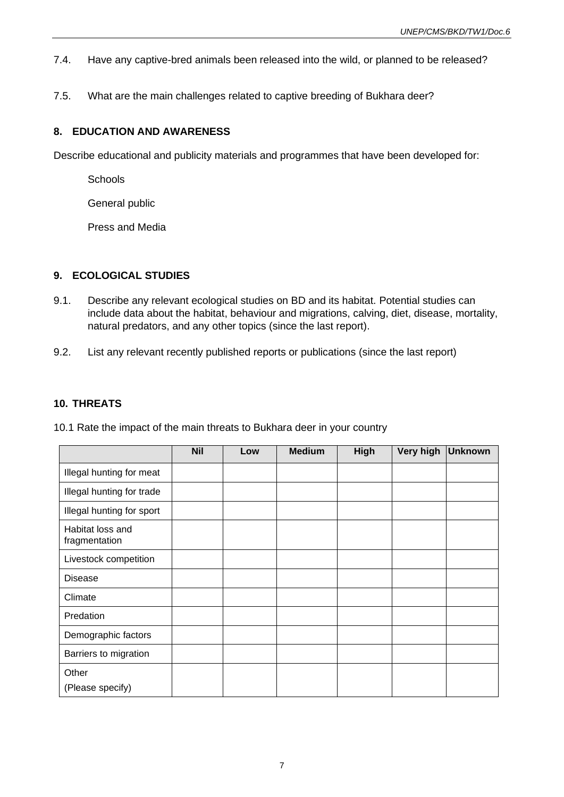- 7.4. Have any captive-bred animals been released into the wild, or planned to be released?
- 7.5. What are the main challenges related to captive breeding of Bukhara deer?

# **8. EDUCATION AND AWARENESS**

Describe educational and publicity materials and programmes that have been developed for:

**Schools** 

General public

Press and Media

# **9. ECOLOGICAL STUDIES**

- 9.1. Describe any relevant ecological studies on BD and its habitat. Potential studies can include data about the habitat, behaviour and migrations, calving, diet, disease, mortality, natural predators, and any other topics (since the last report).
- 9.2. List any relevant recently published reports or publications (since the last report)

#### **10. THREATS**

|                                   | <b>Nil</b> | Low | <b>Medium</b> | High | Very high | <b>Unknown</b> |
|-----------------------------------|------------|-----|---------------|------|-----------|----------------|
| Illegal hunting for meat          |            |     |               |      |           |                |
| Illegal hunting for trade         |            |     |               |      |           |                |
| Illegal hunting for sport         |            |     |               |      |           |                |
| Habitat loss and<br>fragmentation |            |     |               |      |           |                |
| Livestock competition             |            |     |               |      |           |                |
| <b>Disease</b>                    |            |     |               |      |           |                |
| Climate                           |            |     |               |      |           |                |
| Predation                         |            |     |               |      |           |                |
| Demographic factors               |            |     |               |      |           |                |
| Barriers to migration             |            |     |               |      |           |                |
| Other<br>(Please specify)         |            |     |               |      |           |                |

10.1 Rate the impact of the main threats to Bukhara deer in your country